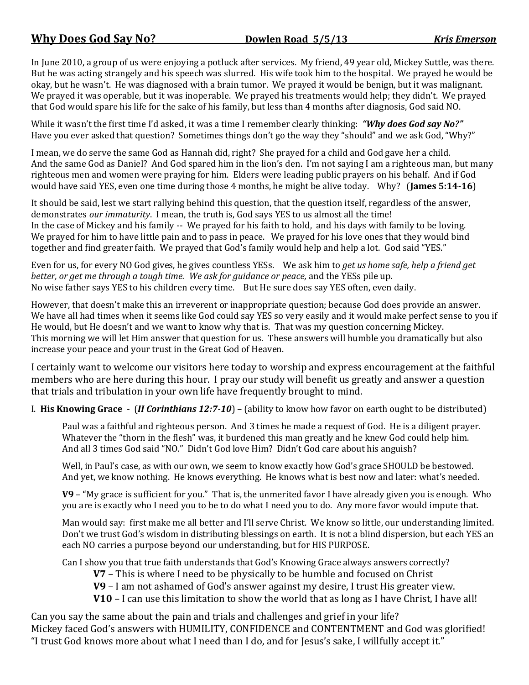In June 2010, a group of us were enjoying a potluck after services. My friend, 49 year old, Mickey Suttle, was there. But he was acting strangely and his speech was slurred. His wife took him to the hospital. We prayed he would be okay, but he wasn't. He was diagnosed with a brain tumor. We prayed it would be benign, but it was malignant. We prayed it was operable, but it was inoperable. We prayed his treatments would help; they didn't. We prayed that God would spare his life for the sake of his family, but less than 4 months after diagnosis, God said NO.

While it wasn't the first time I'd asked, it was a time I remember clearly thinking: *"Why does God say No?"*  Have you ever asked that question? Sometimes things don't go the way they "should" and we ask God, "Why?"

I mean, we do serve the same God as Hannah did, right? She prayed for a child and God gave her a child. And the same God as Daniel? And God spared him in the lion's den. I'm not saying I am a righteous man, but many righteous men and women were praying for him. Elders were leading public prayers on his behalf. And if God would have said YES, even one time during those 4 months, he might be alive today. Why? (**James 5:14-16**)

It should be said, lest we start rallying behind this question, that the question itself, regardless of the answer, demonstrates *our immaturity*. I mean, the truth is, God says YES to us almost all the time! In the case of Mickey and his family -- We prayed for his faith to hold, and his days with family to be loving. We prayed for him to have little pain and to pass in peace. We prayed for his love ones that they would bind together and find greater faith. We prayed that God's family would help and help a lot. God said "YES."

Even for us, for every NO God gives, he gives countless YESs. We ask him to *get us home safe, help a friend get better, or get me through a tough time. We ask for guidance or peace,* and the YESs pile up. No wise father says YES to his children every time. But He sure does say YES often, even daily.

However, that doesn't make this an irreverent or inappropriate question; because God does provide an answer. We have all had times when it seems like God could say YES so very easily and it would make perfect sense to you if He would, but He doesn't and we want to know why that is. That was my question concerning Mickey. This morning we will let Him answer that question for us. These answers will humble you dramatically but also increase your peace and your trust in the Great God of Heaven.

I certainly want to welcome our visitors here today to worship and express encouragement at the faithful members who are here during this hour. I pray our study will benefit us greatly and answer a question that trials and tribulation in your own life have frequently brought to mind.

I. **His Knowing Grace** - (*II Corinthians 12:7-10*) – (ability to know how favor on earth ought to be distributed)

Paul was a faithful and righteous person. And 3 times he made a request of God. He is a diligent prayer. Whatever the "thorn in the flesh" was, it burdened this man greatly and he knew God could help him. And all 3 times God said "NO." Didn't God love Him? Didn't God care about his anguish?

Well, in Paul's case, as with our own, we seem to know exactly how God's grace SHOULD be bestowed. And yet, we know nothing. He knows everything. He knows what is best now and later: what's needed.

**V9** – "My grace is sufficient for you." That is, the unmerited favor I have already given you is enough. Who you are is exactly who I need you to be to do what I need you to do. Any more favor would impute that.

Man would say: first make me all better and I'll serve Christ. We know so little, our understanding limited. Don't we trust God's wisdom in distributing blessings on earth. It is not a blind dispersion, but each YES an each NO carries a purpose beyond our understanding, but for HIS PURPOSE.

Can I show you that true faith understands that God's Knowing Grace always answers correctly?

**V7** – This is where I need to be physically to be humble and focused on Christ

**V9** – I am not ashamed of God's answer against my desire, I trust His greater view.

**V10** – I can use this limitation to show the world that as long as I have Christ, I have all!

Can you say the same about the pain and trials and challenges and grief in your life? Mickey faced God's answers with HUMILITY, CONFIDENCE and CONTENTMENT and God was glorified! "I trust God knows more about what I need than I do, and for Jesus's sake, I willfully accept it."